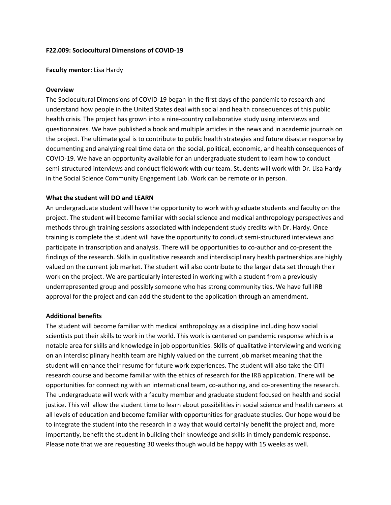### **F22.009: Sociocultural Dimensions of COVID-19**

#### **Faculty mentor:** Lisa Hardy

### **Overview**

The Sociocultural Dimensions of COVID-19 began in the first days of the pandemic to research and understand how people in the United States deal with social and health consequences of this public health crisis. The project has grown into a nine-country collaborative study using interviews and questionnaires. We have published a book and multiple articles in the news and in academic journals on the project. The ultimate goal is to contribute to public health strategies and future disaster response by documenting and analyzing real time data on the social, political, economic, and health consequences of COVID-19. We have an opportunity available for an undergraduate student to learn how to conduct semi-structured interviews and conduct fieldwork with our team. Students will work with Dr. Lisa Hardy in the Social Science Community Engagement Lab. Work can be remote or in person.

## **What the student will DO and LEARN**

An undergraduate student will have the opportunity to work with graduate students and faculty on the project. The student will become familiar with social science and medical anthropology perspectives and methods through training sessions associated with independent study credits with Dr. Hardy. Once training is complete the student will have the opportunity to conduct semi-structured interviews and participate in transcription and analysis. There will be opportunities to co-author and co-present the findings of the research. Skills in qualitative research and interdisciplinary health partnerships are highly valued on the current job market. The student will also contribute to the larger data set through their work on the project. We are particularly interested in working with a student from a previously underrepresented group and possibly someone who has strong community ties. We have full IRB approval for the project and can add the student to the application through an amendment.

## **Additional benefits**

The student will become familiar with medical anthropology as a discipline including how social scientists put their skills to work in the world. This work is centered on pandemic response which is a notable area for skills and knowledge in job opportunities. Skills of qualitative interviewing and working on an interdisciplinary health team are highly valued on the current job market meaning that the student will enhance their resume for future work experiences. The student will also take the CITI research course and become familiar with the ethics of research for the IRB application. There will be opportunities for connecting with an international team, co-authoring, and co-presenting the research. The undergraduate will work with a faculty member and graduate student focused on health and social justice. This will allow the student time to learn about possibilities in social science and health careers at all levels of education and become familiar with opportunities for graduate studies. Our hope would be to integrate the student into the research in a way that would certainly benefit the project and, more importantly, benefit the student in building their knowledge and skills in timely pandemic response. Please note that we are requesting 30 weeks though would be happy with 15 weeks as well.